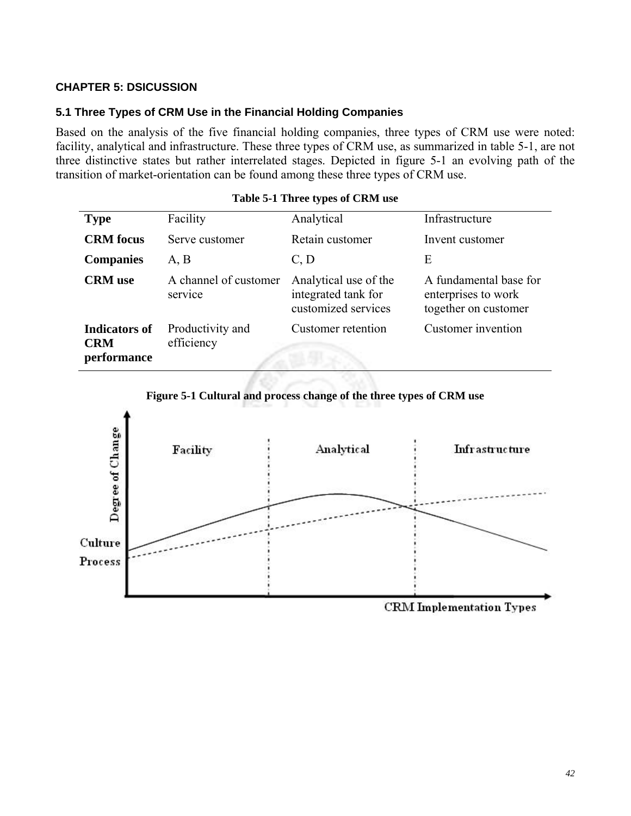# **CHAPTER 5: DSICUSSION**

## **5.1 Three Types of CRM Use in the Financial Holding Companies**

Based on the analysis of the five financial holding companies, three types of CRM use were noted: facility, analytical and infrastructure. These three types of CRM use, as summarized in table 5-1, are not three distinctive states but rather interrelated stages. Depicted in figure 5-1 an evolving path of the transition of market-orientation can be found among these three types of CRM use.

| <b>Type</b>                                       | Facility                         | Analytical                                                          | Infrastructure                                                        |
|---------------------------------------------------|----------------------------------|---------------------------------------------------------------------|-----------------------------------------------------------------------|
| <b>CRM</b> focus                                  | Serve customer                   | Retain customer                                                     | Invent customer                                                       |
| <b>Companies</b>                                  | A, B                             | C, D                                                                | E                                                                     |
| <b>CRM</b> use                                    | A channel of customer<br>service | Analytical use of the<br>integrated tank for<br>customized services | A fundamental base for<br>enterprises to work<br>together on customer |
| <b>Indicators of</b><br><b>CRM</b><br>performance | Productivity and<br>efficiency   | <b>Customer</b> retention                                           | Customer invention                                                    |

#### **Table 5-1 Three types of CRM use**



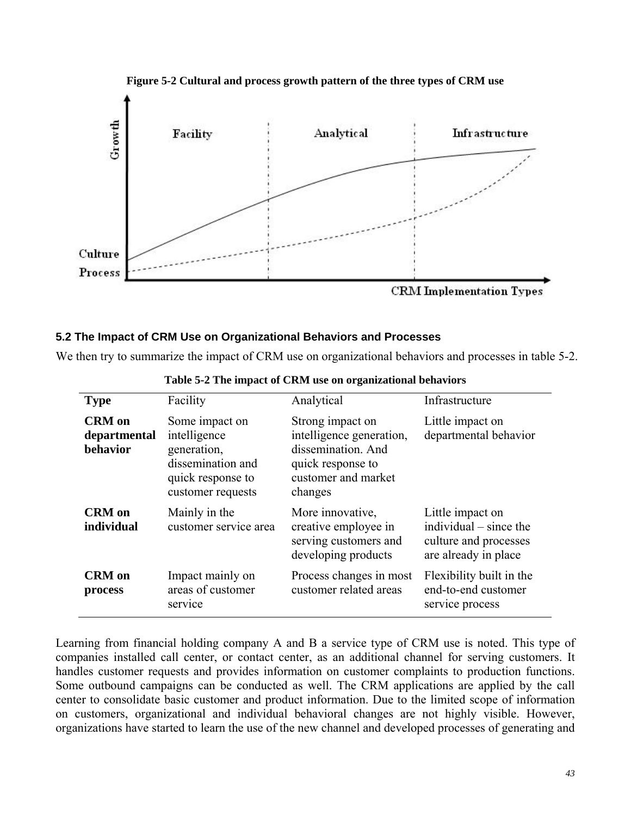

**Figure 5-2 Cultural and process growth pattern of the three types of CRM use** 

### **5.2 The Impact of CRM Use on Organizational Behaviors and Processes**

We then try to summarize the impact of CRM use on organizational behaviors and processes in table 5-2.

| <b>Type</b>                               | Facility                                                                                                     | Analytical                                                                                                                | Infrastructure                                                                                |  |  |
|-------------------------------------------|--------------------------------------------------------------------------------------------------------------|---------------------------------------------------------------------------------------------------------------------------|-----------------------------------------------------------------------------------------------|--|--|
| <b>CRM</b> on<br>departmental<br>behavior | Some impact on<br>intelligence<br>generation,<br>dissemination and<br>quick response to<br>customer requests | Strong impact on<br>intelligence generation,<br>dissemination. And<br>quick response to<br>customer and market<br>changes | Little impact on<br>departmental behavior                                                     |  |  |
| <b>CRM</b> on<br>individual               | Mainly in the<br>customer service area                                                                       | More innovative,<br>creative employee in<br>serving customers and<br>developing products                                  | Little impact on<br>individual $-$ since the<br>culture and processes<br>are already in place |  |  |
| <b>CRM</b> on<br>process                  | Impact mainly on<br>areas of customer<br>service                                                             | Process changes in most<br>customer related areas                                                                         | Flexibility built in the<br>end-to-end customer<br>service process                            |  |  |

|  |  |  |  |  |  | Table 5-2 The impact of CRM use on organizational behaviors |  |  |
|--|--|--|--|--|--|-------------------------------------------------------------|--|--|
|  |  |  |  |  |  |                                                             |  |  |

Learning from financial holding company A and B a service type of CRM use is noted. This type of companies installed call center, or contact center, as an additional channel for serving customers. It handles customer requests and provides information on customer complaints to production functions. Some outbound campaigns can be conducted as well. The CRM applications are applied by the call center to consolidate basic customer and product information. Due to the limited scope of information on customers, organizational and individual behavioral changes are not highly visible. However, organizations have started to learn the use of the new channel and developed processes of generating and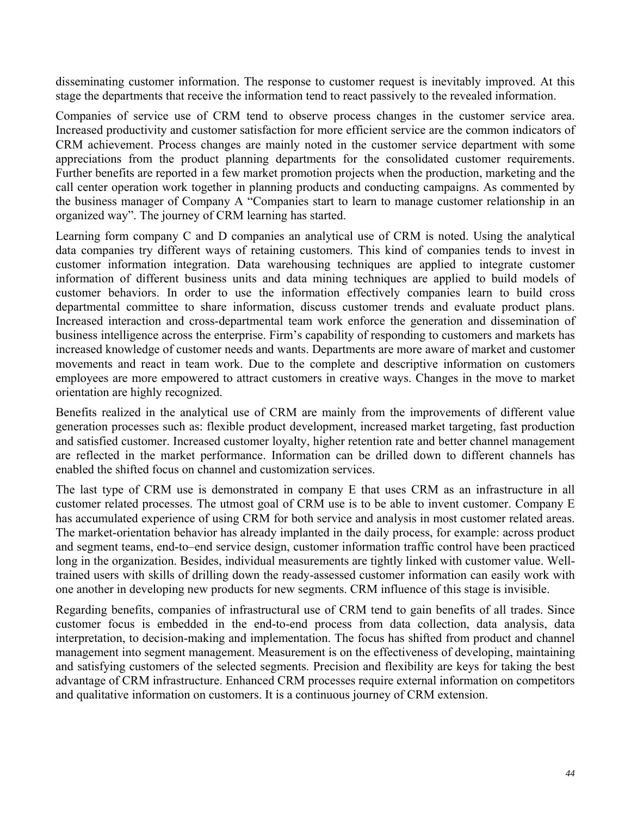disseminating customer information. The response to customer request is inevitably improved. At this stage the departments that receive the information tend to react passively to the revealed information.

Companies of service use of CRM tend to observe process changes in the customer service area. Increased productivity and customer satisfaction for more efficient service are the common indicators of CRM achievement. Process changes are mainly noted in the customer service department with some appreciations from the product planning departments for the consolidated customer requirements. Further benefits are reported in a few market promotion projects when the production, marketing and the call center operation work together in planning products and conducting campaigns. As commented by the business manager of Company A "Companies start to learn to manage customer relationship in an organized way". The journey of CRM learning has started.

Learning form company C and D companies an analytical use of CRM is noted. Using the analytical data companies try different ways of retaining customers. This kind of companies tends to invest in customer information integration. Data warehousing techniques are applied to integrate customer information of different business units and data mining techniques are applied to build models of customer behaviors. In order to use the information effectively companies learn to build cross departmental committee to share information, discuss customer trends and evaluate product plans. Increased interaction and cross-departmental team work enforce the generation and dissemination of business intelligence across the enterprise. Firm's capability of responding to customers and markets has increased knowledge of customer needs and wants. Departments are more aware of market and customer movements and react in team work. Due to the complete and descriptive information on customers employees are more empowered to attract customers in creative ways. Changes in the move to market orientation are highly recognized.

Benefits realized in the analytical use of CRM are mainly from the improvements of different value generation processes such as: flexible product development, increased market targeting, fast production and satisfied customer. Increased customer loyalty, higher retention rate and better channel management are reflected in the market performance. Information can be drilled down to different channels has enabled the shifted focus on channel and customization services.

The last type of CRM use is demonstrated in company E that uses CRM as an infrastructure in all customer related processes. The utmost goal of CRM use is to be able to invent customer. Company E has accumulated experience of using CRM for both service and analysis in most customer related areas. The market-orientation behavior has already implanted in the daily process, for example: across product and segment teams, end-to–end service design, customer information traffic control have been practiced long in the organization. Besides, individual measurements are tightly linked with customer value. Welltrained users with skills of drilling down the ready-assessed customer information can easily work with one another in developing new products for new segments. CRM influence of this stage is invisible.

Regarding benefits, companies of infrastructural use of CRM tend to gain benefits of all trades. Since customer focus is embedded in the end-to-end process from data collection, data analysis, data interpretation, to decision-making and implementation. The focus has shifted from product and channel management into segment management. Measurement is on the effectiveness of developing, maintaining and satisfying customers of the selected segments. Precision and flexibility are keys for taking the best advantage of CRM infrastructure. Enhanced CRM processes require external information on competitors and qualitative information on customers. It is a continuous journey of CRM extension.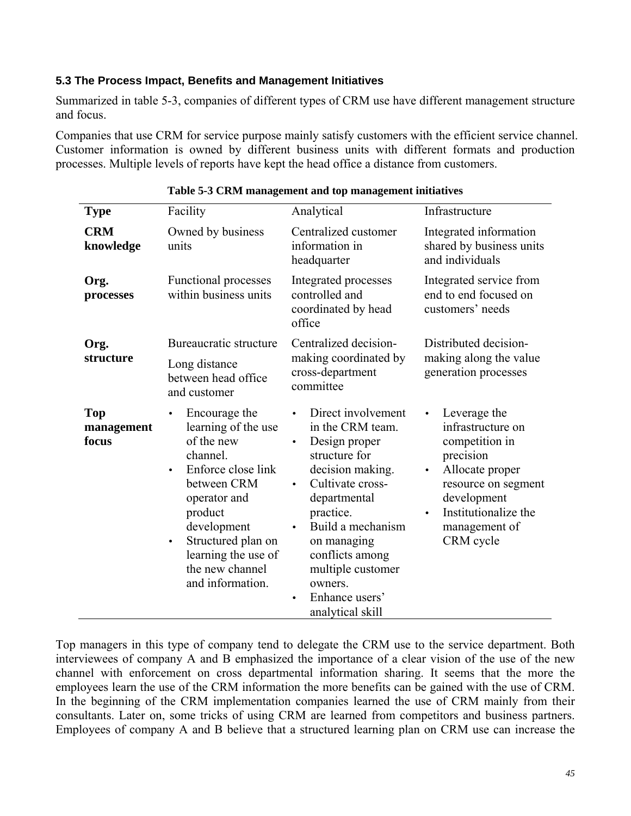## **5.3 The Process Impact, Benefits and Management Initiatives**

Summarized in table 5-3, companies of different types of CRM use have different management structure and focus.

Companies that use CRM for service purpose mainly satisfy customers with the efficient service channel. Customer information is owned by different business units with different formats and production processes. Multiple levels of reports have kept the head office a distance from customers.

| <b>Type</b>                       | Facility                                                                                                                                                                                                                                                                 | Analytical                                                                                                                                                                                                                                                                                                        | Infrastructure                                                                                                                                                                                            |  |  |
|-----------------------------------|--------------------------------------------------------------------------------------------------------------------------------------------------------------------------------------------------------------------------------------------------------------------------|-------------------------------------------------------------------------------------------------------------------------------------------------------------------------------------------------------------------------------------------------------------------------------------------------------------------|-----------------------------------------------------------------------------------------------------------------------------------------------------------------------------------------------------------|--|--|
| <b>CRM</b><br>knowledge           | Owned by business<br>units                                                                                                                                                                                                                                               | Centralized customer<br>information in<br>headquarter                                                                                                                                                                                                                                                             | Integrated information<br>shared by business units<br>and individuals                                                                                                                                     |  |  |
| Org.<br>processes                 | <b>Functional processes</b><br>within business units                                                                                                                                                                                                                     | Integrated processes<br>controlled and<br>coordinated by head<br>office                                                                                                                                                                                                                                           | Integrated service from<br>end to end focused on<br>customers' needs                                                                                                                                      |  |  |
| Org.<br>structure                 | Bureaucratic structure<br>Long distance<br>between head office<br>and customer                                                                                                                                                                                           | Centralized decision-<br>making coordinated by<br>cross-department<br>committee                                                                                                                                                                                                                                   | Distributed decision-<br>making along the value<br>generation processes                                                                                                                                   |  |  |
| <b>Top</b><br>management<br>focus | Encourage the<br>$\bullet$<br>learning of the use<br>of the new<br>channel.<br>Enforce close link<br>$\bullet$<br>between CRM<br>operator and<br>product<br>development<br>Structured plan on<br>$\bullet$<br>learning the use of<br>the new channel<br>and information. | Direct involvement<br>in the CRM team.<br>Design proper<br>$\bullet$<br>structure for<br>decision making.<br>Cultivate cross-<br>$\bullet$<br>departmental<br>practice.<br>Build a mechanism<br>$\bullet$<br>on managing<br>conflicts among<br>multiple customer<br>owners.<br>Enhance users'<br>analytical skill | Leverage the<br>$\bullet$<br>infrastructure on<br>competition in<br>precision<br>Allocate proper<br>$\bullet$<br>resource on segment<br>development<br>Institutionalize the<br>management of<br>CRM cycle |  |  |

### **Table 5-3 CRM management and top management initiatives**

Top managers in this type of company tend to delegate the CRM use to the service department. Both interviewees of company A and B emphasized the importance of a clear vision of the use of the new channel with enforcement on cross departmental information sharing. It seems that the more the employees learn the use of the CRM information the more benefits can be gained with the use of CRM. In the beginning of the CRM implementation companies learned the use of CRM mainly from their consultants. Later on, some tricks of using CRM are learned from competitors and business partners. Employees of company A and B believe that a structured learning plan on CRM use can increase the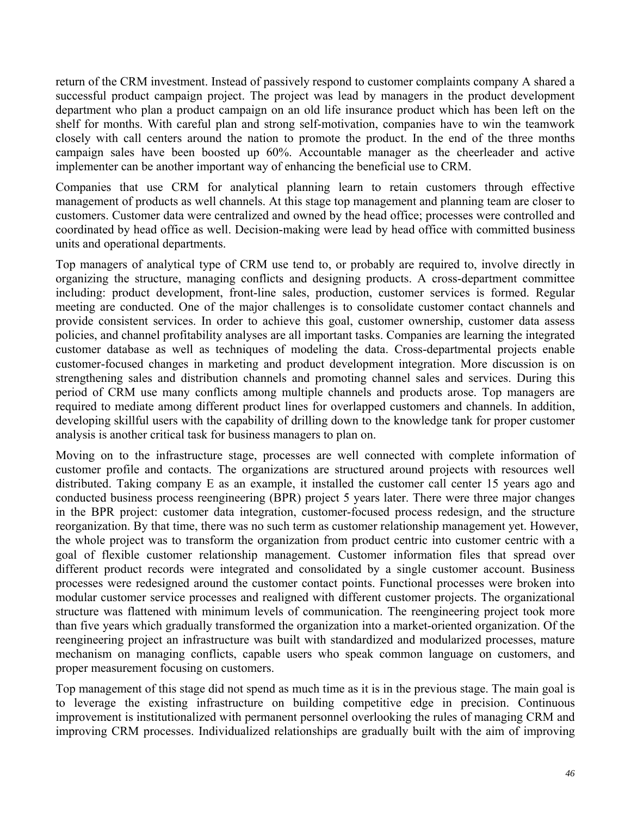return of the CRM investment. Instead of passively respond to customer complaints company A shared a successful product campaign project. The project was lead by managers in the product development department who plan a product campaign on an old life insurance product which has been left on the shelf for months. With careful plan and strong self-motivation, companies have to win the teamwork closely with call centers around the nation to promote the product. In the end of the three months campaign sales have been boosted up 60%. Accountable manager as the cheerleader and active implementer can be another important way of enhancing the beneficial use to CRM.

Companies that use CRM for analytical planning learn to retain customers through effective management of products as well channels. At this stage top management and planning team are closer to customers. Customer data were centralized and owned by the head office; processes were controlled and coordinated by head office as well. Decision-making were lead by head office with committed business units and operational departments.

Top managers of analytical type of CRM use tend to, or probably are required to, involve directly in organizing the structure, managing conflicts and designing products. A cross-department committee including: product development, front-line sales, production, customer services is formed. Regular meeting are conducted. One of the major challenges is to consolidate customer contact channels and provide consistent services. In order to achieve this goal, customer ownership, customer data assess policies, and channel profitability analyses are all important tasks. Companies are learning the integrated customer database as well as techniques of modeling the data. Cross-departmental projects enable customer-focused changes in marketing and product development integration. More discussion is on strengthening sales and distribution channels and promoting channel sales and services. During this period of CRM use many conflicts among multiple channels and products arose. Top managers are required to mediate among different product lines for overlapped customers and channels. In addition, developing skillful users with the capability of drilling down to the knowledge tank for proper customer analysis is another critical task for business managers to plan on.

Moving on to the infrastructure stage, processes are well connected with complete information of customer profile and contacts. The organizations are structured around projects with resources well distributed. Taking company E as an example, it installed the customer call center 15 years ago and conducted business process reengineering (BPR) project 5 years later. There were three major changes in the BPR project: customer data integration, customer-focused process redesign, and the structure reorganization. By that time, there was no such term as customer relationship management yet. However, the whole project was to transform the organization from product centric into customer centric with a goal of flexible customer relationship management. Customer information files that spread over different product records were integrated and consolidated by a single customer account. Business processes were redesigned around the customer contact points. Functional processes were broken into modular customer service processes and realigned with different customer projects. The organizational structure was flattened with minimum levels of communication. The reengineering project took more than five years which gradually transformed the organization into a market-oriented organization. Of the reengineering project an infrastructure was built with standardized and modularized processes, mature mechanism on managing conflicts, capable users who speak common language on customers, and proper measurement focusing on customers.

Top management of this stage did not spend as much time as it is in the previous stage. The main goal is to leverage the existing infrastructure on building competitive edge in precision. Continuous improvement is institutionalized with permanent personnel overlooking the rules of managing CRM and improving CRM processes. Individualized relationships are gradually built with the aim of improving